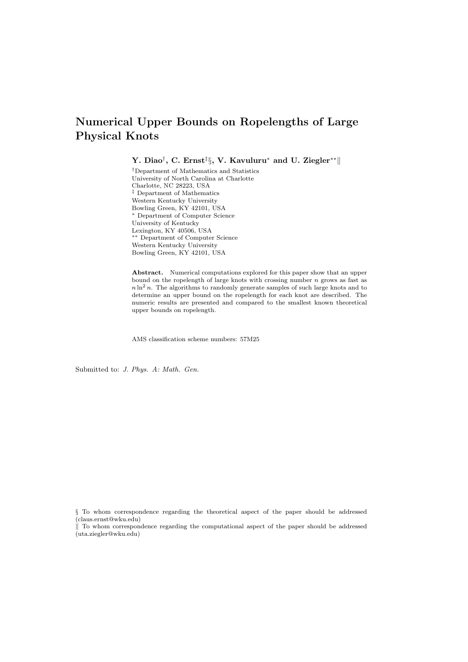# Numerical Upper Bounds on Ropelengths of Large Physical Knots

Y. Diao†, C. Ernst‡ $\S,$  V. Kavuluru $^*$  and U. Ziegler $^{**} \|$ 

†Department of Mathematics and Statistics University of North Carolina at Charlotte Charlotte, NC 28223, USA ‡ Department of Mathematics Western Kentucky University Bowling Green, KY 42101, USA <sup>∗</sup> Department of Computer Science University of Kentucky Lexington, KY 40506, USA ∗∗ Department of Computer Science Western Kentucky University Bowling Green, KY 42101, USA

Abstract. Numerical computations explored for this paper show that an upper bound on the ropelength of large knots with crossing number  $n$  grows as fast as  $n \ln^2 n$ . The algorithms to randomly generate samples of such large knots and to determine an upper bound on the ropelength for each knot are described. The numeric results are presented and compared to the smallest known theoretical upper bounds on ropelength.

AMS classification scheme numbers: 57M25

Submitted to: J. Phys. A: Math. Gen.

§ To whom correspondence regarding the theoretical aspect of the paper should be addressed (claus.ernst@wku.edu)

k To whom correspondence regarding the computational aspect of the paper should be addressed (uta.ziegler@wku.edu)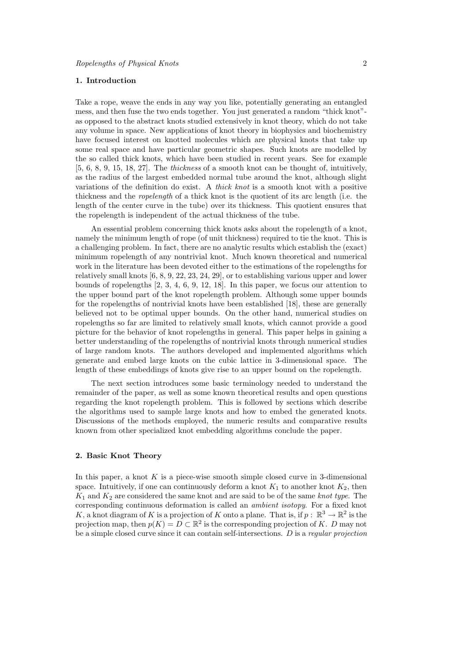# 1. Introduction

Take a rope, weave the ends in any way you like, potentially generating an entangled mess, and then fuse the two ends together. You just generated a random "thick knot" as opposed to the abstract knots studied extensively in knot theory, which do not take any volume in space. New applications of knot theory in biophysics and biochemistry have focused interest on knotted molecules which are physical knots that take up some real space and have particular geometric shapes. Such knots are modelled by the so called thick knots, which have been studied in recent years. See for example [5, 6, 8, 9, 15, 18, 27]. The thickness of a smooth knot can be thought of, intuitively, as the radius of the largest embedded normal tube around the knot, although slight variations of the definition do exist. A thick knot is a smooth knot with a positive thickness and the ropelength of a thick knot is the quotient of its arc length (i.e. the length of the center curve in the tube) over its thickness. This quotient ensures that the ropelength is independent of the actual thickness of the tube.

An essential problem concerning thick knots asks about the ropelength of a knot, namely the minimum length of rope (of unit thickness) required to tie the knot. This is a challenging problem. In fact, there are no analytic results which establish the (exact) minimum ropelength of any nontrivial knot. Much known theoretical and numerical work in the literature has been devoted either to the estimations of the ropelengths for relatively small knots [6, 8, 9, 22, 23, 24, 29], or to establishing various upper and lower bounds of ropelengths [2, 3, 4, 6, 9, 12, 18]. In this paper, we focus our attention to the upper bound part of the knot ropelength problem. Although some upper bounds for the ropelengths of nontrivial knots have been established [18], these are generally believed not to be optimal upper bounds. On the other hand, numerical studies on ropelengths so far are limited to relatively small knots, which cannot provide a good picture for the behavior of knot ropelengths in general. This paper helps in gaining a better understanding of the ropelengths of nontrivial knots through numerical studies of large random knots. The authors developed and implemented algorithms which generate and embed large knots on the cubic lattice in 3-dimensional space. The length of these embeddings of knots give rise to an upper bound on the ropelength.

The next section introduces some basic terminology needed to understand the remainder of the paper, as well as some known theoretical results and open questions regarding the knot ropelength problem. This is followed by sections which describe the algorithms used to sample large knots and how to embed the generated knots. Discussions of the methods employed, the numeric results and comparative results known from other specialized knot embedding algorithms conclude the paper.

## 2. Basic Knot Theory

In this paper, a knot  $K$  is a piece-wise smooth simple closed curve in 3-dimensional space. Intuitively, if one can continuously deform a knot  $K_1$  to another knot  $K_2$ , then  $K_1$  and  $K_2$  are considered the same knot and are said to be of the same knot type. The corresponding continuous deformation is called an ambient isotopy. For a fixed knot K, a knot diagram of K is a projection of K onto a plane. That is, if  $p: \mathbb{R}^3 \to \mathbb{R}^2$  is the projection map, then  $p(K) = D \subset \mathbb{R}^2$  is the corresponding projection of K. D may not be a simple closed curve since it can contain self-intersections. D is a regular projection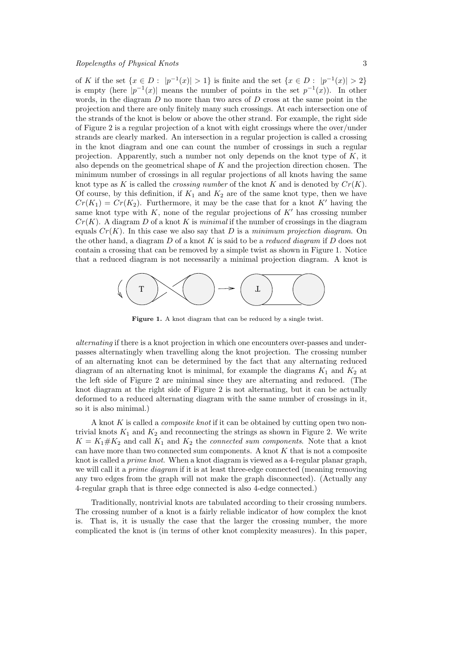of K if the set  $\{x \in D : |p^{-1}(x)| > 1\}$  is finite and the set  $\{x \in D : |p^{-1}(x)| > 2\}$ is empty (here  $|p^{-1}(x)|$  means the number of points in the set  $p^{-1}(x)$ ). In other words, in the diagram  $D$  no more than two arcs of  $D$  cross at the same point in the projection and there are only finitely many such crossings. At each intersection one of the strands of the knot is below or above the other strand. For example, the right side of Figure 2 is a regular projection of a knot with eight crossings where the over/under strands are clearly marked. An intersection in a regular projection is called a crossing in the knot diagram and one can count the number of crossings in such a regular projection. Apparently, such a number not only depends on the knot type of K, it also depends on the geometrical shape of K and the projection direction chosen. The minimum number of crossings in all regular projections of all knots having the same knot type as K is called the *crossing number* of the knot K and is denoted by  $Cr(K)$ . Of course, by this definition, if  $K_1$  and  $K_2$  are of the same knot type, then we have  $Cr(K_1) = Cr(K_2)$ . Furthermore, it may be the case that for a knot K' having the same knot type with  $K$ , none of the regular projections of  $K'$  has crossing number  $Cr(K)$ . A diagram D of a knot K is minimal if the number of crossings in the diagram equals  $Cr(K)$ . In this case we also say that D is a minimum projection diagram. On the other hand, a diagram  $D$  of a knot  $K$  is said to be a *reduced diagram* if  $D$  does not contain a crossing that can be removed by a simple twist as shown in Figure 1. Notice that a reduced diagram is not necessarily a minimal projection diagram. A knot is



Figure 1. A knot diagram that can be reduced by a single twist.

alternating if there is a knot projection in which one encounters over-passes and underpasses alternatingly when travelling along the knot projection. The crossing number of an alternating knot can be determined by the fact that any alternating reduced diagram of an alternating knot is minimal, for example the diagrams  $K_1$  and  $K_2$  at the left side of Figure 2 are minimal since they are alternating and reduced. (The knot diagram at the right side of Figure 2 is not alternating, but it can be actually deformed to a reduced alternating diagram with the same number of crossings in it, so it is also minimal.)

A knot K is called a composite knot if it can be obtained by cutting open two nontrivial knots  $K_1$  and  $K_2$  and reconnecting the strings as shown in Figure 2. We write  $K = K_1 \# K_2$  and call  $K_1$  and  $K_2$  the *connected sum components*. Note that a knot can have more than two connected sum components. A knot  $K$  that is not a composite knot is called a prime knot. When a knot diagram is viewed as a 4-regular planar graph, we will call it a *prime diagram* if it is at least three-edge connected (meaning removing any two edges from the graph will not make the graph disconnected). (Actually any 4-regular graph that is three edge connected is also 4-edge connected.)

Traditionally, nontrivial knots are tabulated according to their crossing numbers. The crossing number of a knot is a fairly reliable indicator of how complex the knot is. That is, it is usually the case that the larger the crossing number, the more complicated the knot is (in terms of other knot complexity measures). In this paper,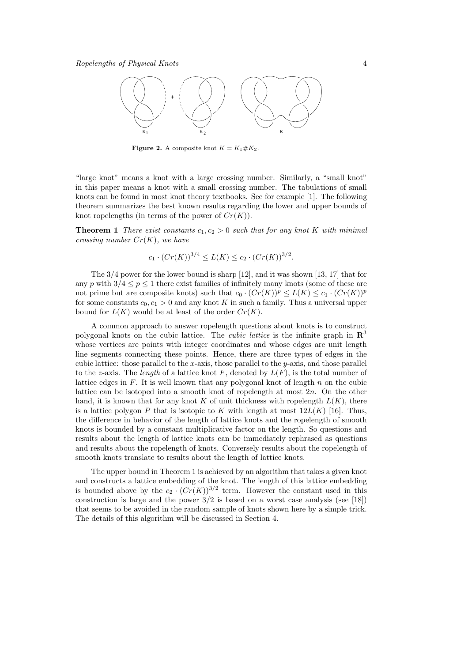

**Figure 2.** A composite knot  $K = K_1 \# K_2$ .

"large knot" means a knot with a large crossing number. Similarly, a "small knot" in this paper means a knot with a small crossing number. The tabulations of small knots can be found in most knot theory textbooks. See for example [1]. The following theorem summarizes the best known results regarding the lower and upper bounds of knot ropelengths (in terms of the power of  $Cr(K)$ ).

**Theorem 1** There exist constants  $c_1, c_2 > 0$  such that for any knot K with minimal crossing number  $Cr(K)$ , we have

$$
c_1 \cdot (Cr(K))^{3/4} \le L(K) \le c_2 \cdot (Cr(K))^{3/2}.
$$

The 3/4 power for the lower bound is sharp [12], and it was shown [13, 17] that for any p with  $3/4 \le p \le 1$  there exist families of infinitely many knots (some of these are not prime but are composite knots) such that  $c_0 \cdot (Cr(K))^p \leq L(K) \leq c_1 \cdot (Cr(K))^p$ for some constants  $c_0, c_1 > 0$  and any knot K in such a family. Thus a universal upper bound for  $L(K)$  would be at least of the order  $Cr(K)$ .

A common approach to answer ropelength questions about knots is to construct polygonal knots on the cubic lattice. The *cubic lattice* is the infinite graph in  $\mathbb{R}^3$ whose vertices are points with integer coordinates and whose edges are unit length line segments connecting these points. Hence, there are three types of edges in the cubic lattice: those parallel to the x-axis, those parallel to the y-axis, and those parallel to the z-axis. The length of a lattice knot F, denoted by  $L(F)$ , is the total number of lattice edges in  $F$ . It is well known that any polygonal knot of length  $n$  on the cubic lattice can be isotoped into a smooth knot of ropelength at most 2n. On the other hand, it is known that for any knot K of unit thickness with ropelength  $L(K)$ , there is a lattice polygon P that is isotopic to K with length at most  $12L(K)$  [16]. Thus, the difference in behavior of the length of lattice knots and the ropelength of smooth knots is bounded by a constant multiplicative factor on the length. So questions and results about the length of lattice knots can be immediately rephrased as questions and results about the ropelength of knots. Conversely results about the ropelength of smooth knots translate to results about the length of lattice knots.

The upper bound in Theorem 1 is achieved by an algorithm that takes a given knot and constructs a lattice embedding of the knot. The length of this lattice embedding is bounded above by the  $c_2 \cdot (Cr(K))^{3/2}$  term. However the constant used in this construction is large and the power  $3/2$  is based on a worst case analysis (see [18]) that seems to be avoided in the random sample of knots shown here by a simple trick. The details of this algorithm will be discussed in Section 4.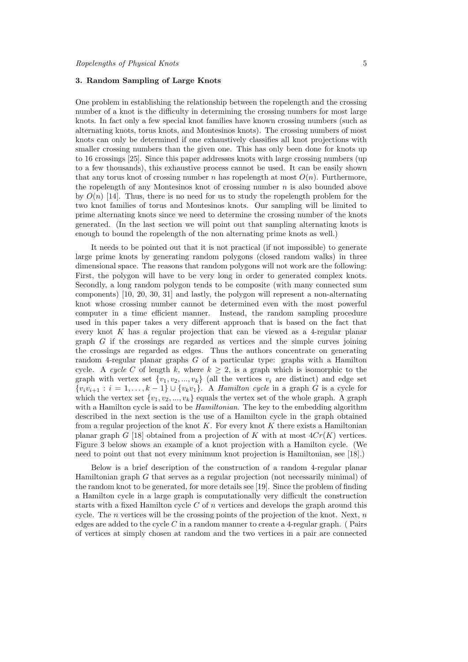## 3. Random Sampling of Large Knots

One problem in establishing the relationship between the ropelength and the crossing number of a knot is the difficulty in determining the crossing numbers for most large knots. In fact only a few special knot families have known crossing numbers (such as alternating knots, torus knots, and Montesinos knots). The crossing numbers of most knots can only be determined if one exhaustively classifies all knot projections with smaller crossing numbers than the given one. This has only been done for knots up to 16 crossings [25]. Since this paper addresses knots with large crossing numbers (up to a few thousands), this exhaustive process cannot be used. It can be easily shown that any torus knot of crossing number n has ropelength at most  $O(n)$ . Furthermore, the ropelength of any Montesinos knot of crossing number  $n$  is also bounded above by  $O(n)$  [14]. Thus, there is no need for us to study the ropelength problem for the two knot families of torus and Montesinos knots. Our sampling will be limited to prime alternating knots since we need to determine the crossing number of the knots generated. (In the last section we will point out that sampling alternating knots is enough to bound the ropelength of the non alternating prime knots as well.)

It needs to be pointed out that it is not practical (if not impossible) to generate large prime knots by generating random polygons (closed random walks) in three dimensional space. The reasons that random polygons will not work are the following: First, the polygon will have to be very long in order to generated complex knots. Secondly, a long random polygon tends to be composite (with many connected sum components) [10, 20, 30, 31] and lastly, the polygon will represent a non-alternating knot whose crossing number cannot be determined even with the most powerful computer in a time efficient manner. Instead, the random sampling procedure used in this paper takes a very different approach that is based on the fact that every knot K has a regular projection that can be viewed as a 4-regular planar graph G if the crossings are regarded as vertices and the simple curves joining the crossings are regarded as edges. Thus the authors concentrate on generating random 4-regular planar graphs G of a particular type: graphs with a Hamilton cycle. A cycle C of length k, where  $k \geq 2$ , is a graph which is isomorphic to the graph with vertex set  $\{v_1, v_2, ..., v_k\}$  (all the vertices  $v_i$  are distinct) and edge set  $\{v_i v_{i+1} : i = 1, \ldots, k-1\} \cup \{v_k v_1\}.$  A *Hamilton cycle* in a graph G is a cycle for which the vertex set  $\{v_1, v_2, ..., v_k\}$  equals the vertex set of the whole graph. A graph with a Hamilton cycle is said to be *Hamiltonian*. The key to the embedding algorithm described in the next section is the use of a Hamilton cycle in the graph obtained from a regular projection of the knot  $K$ . For every knot  $K$  there exists a Hamiltonian planar graph G [18] obtained from a projection of K with at most  $4Cr(K)$  vertices. Figure 3 below shows an example of a knot projection with a Hamilton cycle. (We need to point out that not every minimum knot projection is Hamiltonian, see [18].)

Below is a brief description of the construction of a random 4-regular planar Hamiltonian graph G that serves as a regular projection (not necessarily minimal) of the random knot to be generated, for more details see [19]. Since the problem of finding a Hamilton cycle in a large graph is computationally very difficult the construction starts with a fixed Hamilton cycle  $C$  of n vertices and develops the graph around this cycle. The  $n$  vertices will be the crossing points of the projection of the knot. Next,  $n$ edges are added to the cycle  $C$  in a random manner to create a 4-regular graph. (Pairs of vertices at simply chosen at random and the two vertices in a pair are connected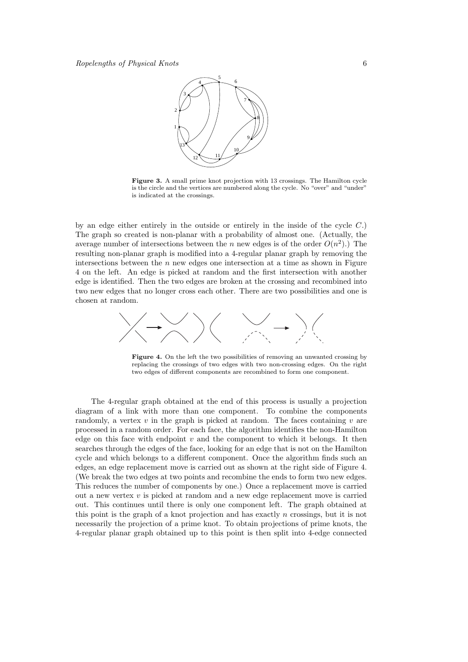

Figure 3. A small prime knot projection with 13 crossings. The Hamilton cycle is the circle and the vertices are numbered along the cycle. No "over" and "under" is indicated at the crossings.

by an edge either entirely in the outside or entirely in the inside of the cycle  $C$ .) The graph so created is non-planar with a probability of almost one. (Actually, the average number of intersections between the *n* new edges is of the order  $O(n^2)$ .) The resulting non-planar graph is modified into a 4-regular planar graph by removing the intersections between the  $n$  new edges one intersection at a time as shown in Figure 4 on the left. An edge is picked at random and the first intersection with another edge is identified. Then the two edges are broken at the crossing and recombined into two new edges that no longer cross each other. There are two possibilities and one is chosen at random.



Figure 4. On the left the two possibilities of removing an unwanted crossing by replacing the crossings of two edges with two non-crossing edges. On the right two edges of different components are recombined to form one component.

The 4-regular graph obtained at the end of this process is usually a projection diagram of a link with more than one component. To combine the components randomly, a vertex  $v$  in the graph is picked at random. The faces containing  $v$  are processed in a random order. For each face, the algorithm identifies the non-Hamilton edge on this face with endpoint  $v$  and the component to which it belongs. It then searches through the edges of the face, looking for an edge that is not on the Hamilton cycle and which belongs to a different component. Once the algorithm finds such an edges, an edge replacement move is carried out as shown at the right side of Figure 4. (We break the two edges at two points and recombine the ends to form two new edges. This reduces the number of components by one.) Once a replacement move is carried out a new vertex v is picked at random and a new edge replacement move is carried out. This continues until there is only one component left. The graph obtained at this point is the graph of a knot projection and has exactly  $n$  crossings, but it is not necessarily the projection of a prime knot. To obtain projections of prime knots, the 4-regular planar graph obtained up to this point is then split into 4-edge connected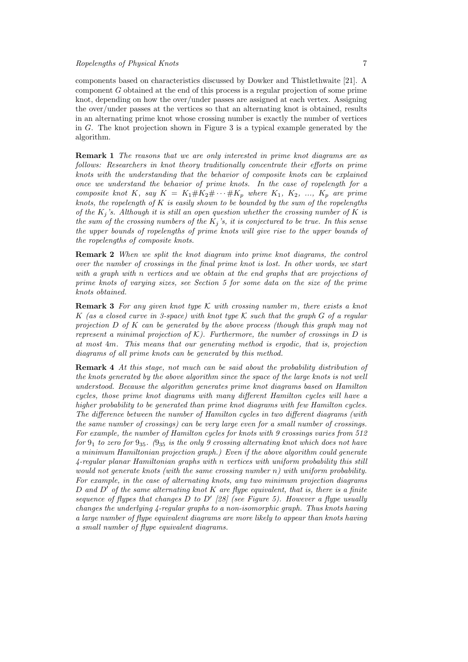components based on characteristics discussed by Dowker and Thistlethwaite [21]. A component G obtained at the end of this process is a regular projection of some prime knot, depending on how the over/under passes are assigned at each vertex. Assigning the over/under passes at the vertices so that an alternating knot is obtained, results in an alternating prime knot whose crossing number is exactly the number of vertices in G. The knot projection shown in Figure 3 is a typical example generated by the algorithm.

**Remark 1** The reasons that we are only interested in prime knot diagrams are as follows: Researchers in knot theory traditionally concentrate their efforts on prime knots with the understanding that the behavior of composite knots can be explained once we understand the behavior of prime knots. In the case of ropelength for a composite knot K, say  $K = K_1 \# K_2 \# \cdots \# K_p$  where  $K_1, K_2, \ldots, K_p$  are prime knots, the ropelength of K is easily shown to be bounded by the sum of the ropelengths of the  $K_j$ 's. Although it is still an open question whether the crossing number of K is the sum of the crossing numbers of the  $K_i$ 's, it is conjectured to be true. In this sense the upper bounds of ropelengths of prime knots will give rise to the upper bounds of the ropelengths of composite knots.

Remark 2 When we split the knot diagram into prime knot diagrams, the control over the number of crossings in the final prime knot is lost. In other words, we start with a graph with n vertices and we obtain at the end graphs that are projections of prime knots of varying sizes, see Section 5 for some data on the size of the prime knots obtained.

**Remark 3** For any given knot type K with crossing number m, there exists a knot K (as a closed curve in 3-space) with knot type K such that the graph G of a regular projection  $D$  of  $K$  can be generated by the above process (though this graph may not represent a minimal projection of  $K$ ). Furthermore, the number of crossings in  $D$  is at most 4m. This means that our generating method is ergodic, that is, projection diagrams of all prime knots can be generated by this method.

Remark 4 At this stage, not much can be said about the probability distribution of the knots generated by the above algorithm since the space of the large knots is not well understood. Because the algorithm generates prime knot diagrams based on Hamilton cycles, those prime knot diagrams with many different Hamilton cycles will have a higher probability to be generated than prime knot diagrams with few Hamilton cycles. The difference between the number of Hamilton cycles in two different diagrams (with the same number of crossings) can be very large even for a small number of crossings. For example, the number of Hamilton cycles for knots with 9 crossings varies from 512 for  $9_1$  to zero for  $9_{35}$ . ( $9_{35}$  is the only 9 crossing alternating knot which does not have a minimum Hamiltonian projection graph.) Even if the above algorithm could generate 4-regular planar Hamiltonian graphs with n vertices with uniform probability this still would not generate knots (with the same crossing number  $n$ ) with uniform probability. For example, in the case of alternating knots, any two minimum projection diagrams D and D' of the same alternating knot K are flype equivalent, that is, there is a finite sequence of flypes that changes D to D' [28] (see Figure 5). However a flype usually changes the underlying 4-regular graphs to a non-isomorphic graph. Thus knots having a large number of flype equivalent diagrams are more likely to appear than knots having a small number of flype equivalent diagrams.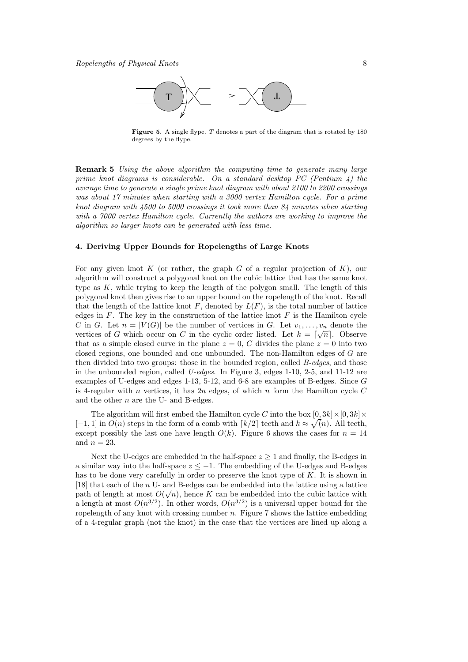

Figure 5. A single flype. T denotes a part of the diagram that is rotated by 180 degrees by the flype.

Remark 5 Using the above algorithm the computing time to generate many large prime knot diagrams is considerable. On a standard desktop PC (Pentium  $\lambda$ ) the average time to generate a single prime knot diagram with about 2100 to 2200 crossings was about 17 minutes when starting with a 3000 vertex Hamilton cycle. For a prime knot diagram with  $4500$  to  $5000$  crossings it took more than  $84$  minutes when starting with a 7000 vertex Hamilton cycle. Currently the authors are working to improve the algorithm so larger knots can be generated with less time.

### 4. Deriving Upper Bounds for Ropelengths of Large Knots

For any given knot K (or rather, the graph G of a regular projection of K), our algorithm will construct a polygonal knot on the cubic lattice that has the same knot type as  $K$ , while trying to keep the length of the polygon small. The length of this polygonal knot then gives rise to an upper bound on the ropelength of the knot. Recall that the length of the lattice knot F, denoted by  $L(F)$ , is the total number of lattice edges in  $F$ . The key in the construction of the lattice knot  $F$  is the Hamilton cycle C in G. Let  $n = |V(G)|$  be the number of vertices in G. Let  $v_1, \ldots, v_n$  denote the vertices of G which occur on C in the cyclic order listed. Let  $k = \lceil \sqrt{n} \rceil$ . Observe that as a simple closed curve in the plane  $z = 0$ , C divides the plane  $z = 0$  into two closed regions, one bounded and one unbounded. The non-Hamilton edges of G are then divided into two groups: those in the bounded region, called B-edges, and those in the unbounded region, called  $U$ -edges. In Figure 3, edges 1-10, 2-5, and 11-12 are examples of U-edges and edges 1-13, 5-12, and 6-8 are examples of B-edges. Since G is 4-regular with n vertices, it has 2n edges, of which n form the Hamilton cycle  $C$ and the other  $n$  are the U- and B-edges.

The algorithm will first embed the Hamilton cycle C into the box  $[0, 3k] \times [0, 3k] \times$  $[-1, 1]$  in  $O(n)$  steps in the form of a comb with  $\lceil k/2 \rceil$  teeth and  $k \approx \sqrt{n}$ . All teeth, except possibly the last one have length  $O(k)$ . Figure 6 shows the cases for  $n = 14$ and  $n = 23$ .

Next the U-edges are embedded in the half-space  $z \geq 1$  and finally, the B-edges in a similar way into the half-space  $z \leq -1$ . The embedding of the U-edges and B-edges has to be done very carefully in order to preserve the knot type of  $K$ . It is shown in [18] that each of the *n* U- and B-edges can be embedded into the lattice using a lattice path of length at most  $O(\sqrt{n})$ , hence K can be embedded into the cubic lattice with a length at most  $O(n^{3/2})$ . In other words,  $O(n^{3/2})$  is a universal upper bound for the ropelength of any knot with crossing number  $n$ . Figure 7 shows the lattice embedding of a 4-regular graph (not the knot) in the case that the vertices are lined up along a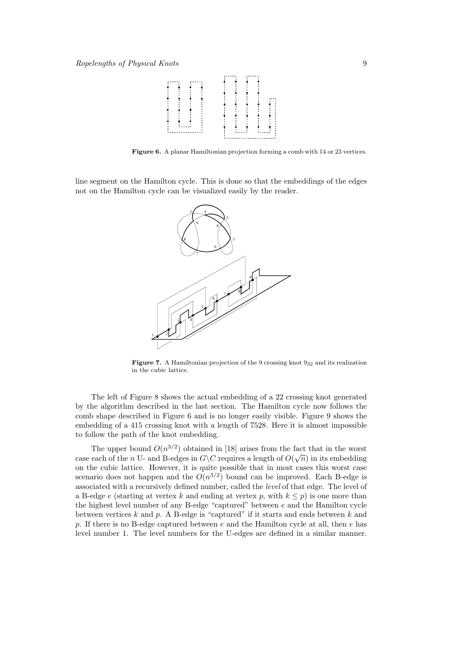

Figure 6. A planar Hamiltonian projection forming a comb with 14 or 23 vertices.

line segment on the Hamilton cycle. This is done so that the embeddings of the edges not on the Hamilton cycle can be visualized easily by the reader.



**Figure 7.** A Hamiltonian projection of the 9 crossing knot  $9_{32}$  and its realization in the cubic lattice.

The left of Figure 8 shows the actual embedding of a 22 crossing knot generated by the algorithm described in the last section. The Hamilton cycle now follows the comb shape described in Figure 6 and is no longer easily visible. Figure 9 shows the embedding of a 415 crossing knot with a length of 7528. Here it is almost impossible to follow the path of the knot embedding.

The upper bound  $O(n^{3/2})$  obtained in [18] arises from the fact that in the worst case each of the n U- and B-edges in  $G\backslash C$  requires a length of  $O(\sqrt{n})$  in its embedding on the cubic lattice. However, it is quite possible that in most cases this worst case scenario does not happen and the  $O(n^{3/2})$  bound can be improved. Each B-edge is associated with a recursively defined number, called the level of that edge. The level of a B-edge e (starting at vertex k and ending at vertex p, with  $k \leq p$ ) is one more than the highest level number of any B-edge "captured" between e and the Hamilton cycle between vertices  $k$  and  $p$ . A B-edge is "captured" if it starts and ends between  $k$  and p. If there is no B-edge captured between  $e$  and the Hamilton cycle at all, then  $e$  has level number 1. The level numbers for the U-edges are defined in a similar manner.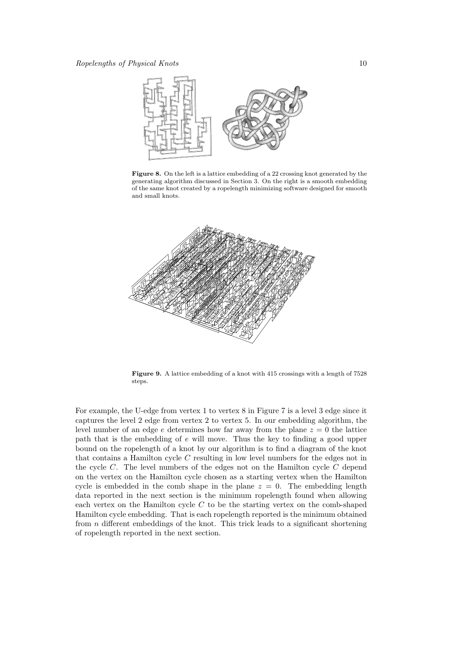

Figure 8. On the left is a lattice embedding of a 22 crossing knot generated by the generating algorithm discussed in Section 3. On the right is a smooth embedding of the same knot created by a ropelength minimizing software designed for smooth and small knots.



Figure 9. A lattice embedding of a knot with 415 crossings with a length of 7528 steps.

For example, the U-edge from vertex 1 to vertex 8 in Figure 7 is a level 3 edge since it captures the level 2 edge from vertex 2 to vertex 5. In our embedding algorithm, the level number of an edge e determines how far away from the plane  $z = 0$  the lattice path that is the embedding of e will move. Thus the key to finding a good upper bound on the ropelength of a knot by our algorithm is to find a diagram of the knot that contains a Hamilton cycle  $C$  resulting in low level numbers for the edges not in the cycle  $C$ . The level numbers of the edges not on the Hamilton cycle  $C$  depend on the vertex on the Hamilton cycle chosen as a starting vertex when the Hamilton cycle is embedded in the comb shape in the plane  $z = 0$ . The embedding length data reported in the next section is the minimum ropelength found when allowing each vertex on the Hamilton cycle  $C$  to be the starting vertex on the comb-shaped Hamilton cycle embedding. That is each ropelength reported is the minimum obtained from  $n$  different embeddings of the knot. This trick leads to a significant shortening of ropelength reported in the next section.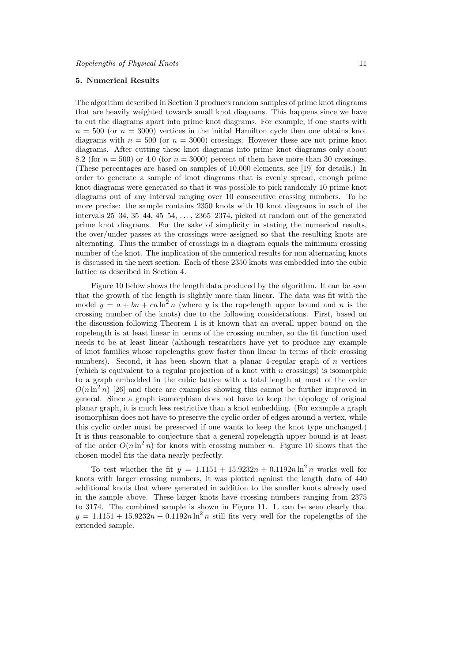# 5. Numerical Results

The algorithm described in Section 3 produces random samples of prime knot diagrams that are heavily weighted towards small knot diagrams. This happens since we have to cut the diagrams apart into prime knot diagrams. For example, if one starts with  $n = 500$  (or  $n = 3000$ ) vertices in the initial Hamilton cycle then one obtains knot diagrams with  $n = 500$  (or  $n = 3000$ ) crossings. However these are not prime knot diagrams. After cutting these knot diagrams into prime knot diagrams only about 8.2 (for  $n = 500$ ) or 4.0 (for  $n = 3000$ ) percent of them have more than 30 crossings. (These percentages are based on samples of 10,000 elements, see [19] for details.) In order to generate a sample of knot diagrams that is evenly spread, enough prime knot diagrams were generated so that it was possible to pick randomly 10 prime knot diagrams out of any interval ranging over 10 consecutive crossing numbers. To be more precise: the sample contains 2350 knots with 10 knot diagrams in each of the intervals  $25-34$ ,  $35-44$ ,  $45-54$ ,  $\dots$ ,  $2365-2374$ , picked at random out of the generated prime knot diagrams. For the sake of simplicity in stating the numerical results, the over/under passes at the crossings were assigned so that the resulting knots are alternating. Thus the number of crossings in a diagram equals the minimum crossing number of the knot. The implication of the numerical results for non alternating knots is discussed in the next section. Each of these 2350 knots was embedded into the cubic lattice as described in Section 4.

Figure 10 below shows the length data produced by the algorithm. It can be seen that the growth of the length is slightly more than linear. The data was fit with the model  $y = a + bn + cn \ln^{2} n$  (where y is the ropelength upper bound and n is the crossing number of the knots) due to the following considerations. First, based on the discussion following Theorem 1 is it known that an overall upper bound on the ropelength is at least linear in terms of the crossing number, so the fit function used needs to be at least linear (although researchers have yet to produce any example of knot families whose ropelengths grow faster than linear in terms of their crossing numbers). Second, it has been shown that a planar 4-regular graph of *n* vertices (which is equivalent to a regular projection of a knot with n crossings) is isomorphic to a graph embedded in the cubic lattice with a total length at most of the order  $O(n \ln^2 n)$  [26] and there are examples showing this cannot be further improved in general. Since a graph isomorphism does not have to keep the topology of original planar graph, it is much less restrictive than a knot embedding. (For example a graph isomorphism does not have to preserve the cyclic order of edges around a vertex, while this cyclic order must be preserved if one wants to keep the knot type unchanged.) It is thus reasonable to conjecture that a general ropelength upper bound is at least of the order  $O(n \ln^2 n)$  for knots with crossing number n. Figure 10 shows that the chosen model fits the data nearly perfectly.

To test whether the fit  $y = 1.1151 + 15.9232n + 0.1192n \ln^2 n$  works well for knots with larger crossing numbers, it was plotted against the length data of 440 additional knots that where generated in addition to the smaller knots already used in the sample above. These larger knots have crossing numbers ranging from 2375 to 3174. The combined sample is shown in Figure 11. It can be seen clearly that  $y = 1.1151 + 15.9232n + 0.1192n \ln^2 n$  still fits very well for the ropelengths of the extended sample.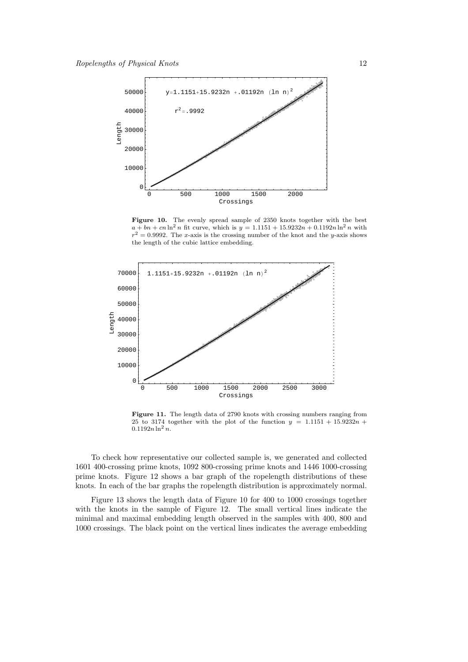

Figure 10. The evenly spread sample of 2350 knots together with the best  $a + bn + cn \ln^2 n$  fit curve, which is  $y = 1.1151 + 15.9232n + 0.1192n \ln^2 n$  with  $r^2 = 0.9992$ . The x-axis is the crossing number of the knot and the y-axis shows the length of the cubic lattice embedding.



Figure 11. The length data of 2790 knots with crossing numbers ranging from 25 to 3174 together with the plot of the function  $y = 1.1151 + 15.9232n +$  $0.1192n \ln^2 n$ .

To check how representative our collected sample is, we generated and collected 1601 400-crossing prime knots, 1092 800-crossing prime knots and 1446 1000-crossing prime knots. Figure 12 shows a bar graph of the ropelength distributions of these knots. In each of the bar graphs the ropelength distribution is approximately normal.

Figure 13 shows the length data of Figure 10 for 400 to 1000 crossings together with the knots in the sample of Figure 12. The small vertical lines indicate the minimal and maximal embedding length observed in the samples with 400, 800 and 1000 crossings. The black point on the vertical lines indicates the average embedding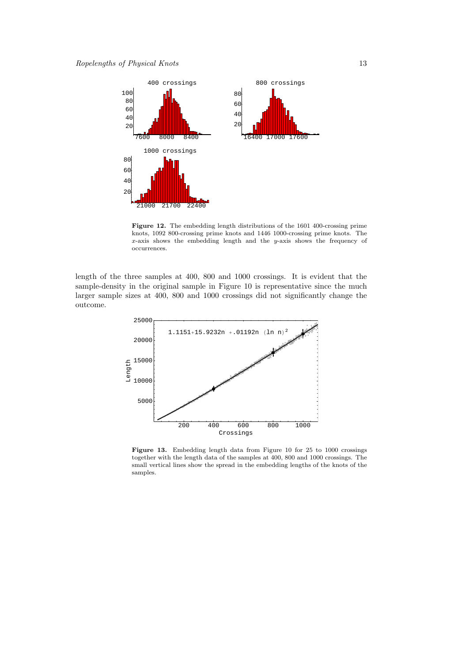

Figure 12. The embedding length distributions of the 1601 400-crossing prime knots, 1092 800-crossing prime knots and 1446 1000-crossing prime knots. The  $x$ -axis shows the embedding length and the  $y$ -axis shows the frequency of occurrences.

length of the three samples at 400, 800 and 1000 crossings. It is evident that the sample-density in the original sample in Figure 10 is representative since the much larger sample sizes at 400, 800 and 1000 crossings did not significantly change the outcome.



Figure 13. Embedding length data from Figure 10 for 25 to 1000 crossings together with the length data of the samples at 400, 800 and 1000 crossings. The small vertical lines show the spread in the embedding lengths of the knots of the samples.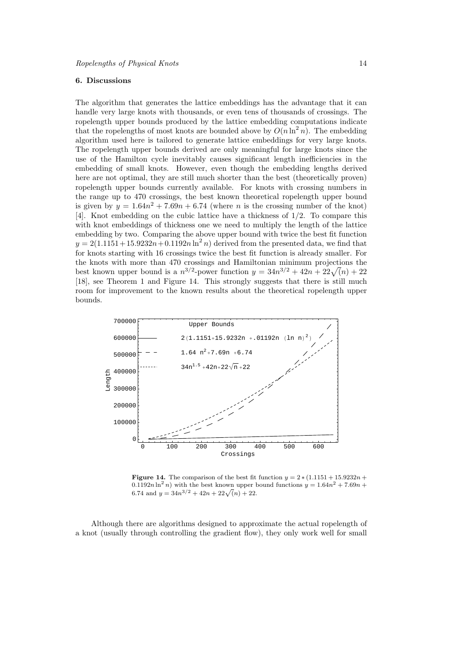# 6. Discussions

The algorithm that generates the lattice embeddings has the advantage that it can handle very large knots with thousands, or even tens of thousands of crossings. The ropelength upper bounds produced by the lattice embedding computations indicate that the ropelengths of most knots are bounded above by  $O(n \ln^2 n)$ . The embedding algorithm used here is tailored to generate lattice embeddings for very large knots. The ropelength upper bounds derived are only meaningful for large knots since the use of the Hamilton cycle inevitably causes significant length inefficiencies in the embedding of small knots. However, even though the embedding lengths derived here are not optimal, they are still much shorter than the best (theoretically proven) ropelength upper bounds currently available. For knots with crossing numbers in the range up to 470 crossings, the best known theoretical ropelength upper bound is given by  $y = 1.64n^2 + 7.69n + 6.74$  (where *n* is the crossing number of the knot) [4]. Knot embedding on the cubic lattice have a thickness of 1/2. To compare this with knot embeddings of thickness one we need to multiply the length of the lattice embedding by two. Comparing the above upper bound with twice the best fit function  $y = 2(1.1151 + 15.9232n + 0.1192n \ln^2 n)$  derived from the presented data, we find that for knots starting with 16 crossings twice the best fit function is already smaller. For the knots with more than 470 crossings and Hamiltonian minimum projections the the knots with more than 470 crossings and Hamiltonian minimum projections the best known upper bound is a  $n^{3/2}$ -power function  $y = 34n^{3/2} + 42n + 22\sqrt{n} + 22$ [18], see Theorem 1 and Figure 14. This strongly suggests that there is still much room for improvement to the known results about the theoretical ropelength upper bounds.



Figure 14. The comparison of the best fit function  $y = 2 * (1.1151 + 15.9232n +$  $(0.1192n \ln^2 n)$  with the best known upper bound functions  $y = 1.64n^2 + 7.69n +$ 6.74 and  $y = 34n^{3/2} + 42n + 22\sqrt{n} + 22$ .

Although there are algorithms designed to approximate the actual ropelength of a knot (usually through controlling the gradient flow), they only work well for small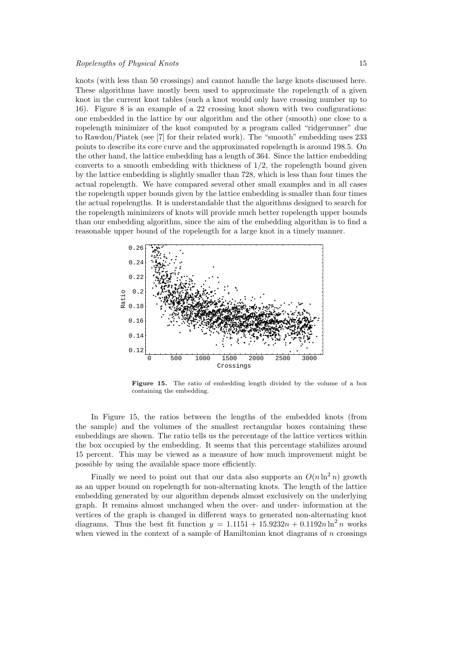knots (with less than 50 crossings) and cannot handle the large knots discussed here. These algorithms have mostly been used to approximate the ropelength of a given knot in the current knot tables (such a knot would only have crossing number up to 16). Figure 8 is an example of a 22 crossing knot shown with two configurations: one embedded in the lattice by our algorithm and the other (smooth) one close to a ropelength minimizer of the knot computed by a program called "ridgerunner" due to Rawdon/Piatek (see [7] for their related work). The "smooth" embedding uses 233 points to describe its core curve and the approximated ropelength is around 198.5. On the other hand, the lattice embedding has a length of 364. Since the lattice embedding converts to a smooth embedding with thickness of  $1/2$ , the ropelength bound given by the lattice embedding is slightly smaller than 728, which is less than four times the actual ropelength. We have compared several other small examples and in all cases the ropelength upper bounds given by the lattice embedding is smaller than four times the actual ropelengths. It is understandable that the algorithms designed to search for the ropelength minimizers of knots will provide much better ropelength upper bounds than our embedding algorithm, since the aim of the embedding algorithm is to find a reasonable upper bound of the ropelength for a large knot in a timely manner.



Figure 15. The ratio of embedding length divided by the volume of a box containing the embedding.

In Figure 15, the ratios between the lengths of the embedded knots (from the sample) and the volumes of the smallest rectangular boxes containing these embeddings are shown. The ratio tells us the percentage of the lattice vertices within the box occupied by the embedding. It seems that this percentage stabilizes around 15 percent. This may be viewed as a measure of how much improvement might be possible by using the available space more efficiently.

Finally we need to point out that our data also supports an  $O(n \ln^2 n)$  growth as an upper bound on ropelength for non-alternating knots. The length of the lattice embedding generated by our algorithm depends almost exclusively on the underlying graph. It remains almost unchanged when the over- and under- information at the vertices of the graph is changed in different ways to generated non-alternating knot diagrams. Thus the best fit function  $y = 1.1151 + 15.9232n + 0.1192n \ln^2 n$  works when viewed in the context of a sample of Hamiltonian knot diagrams of  $n$  crossings